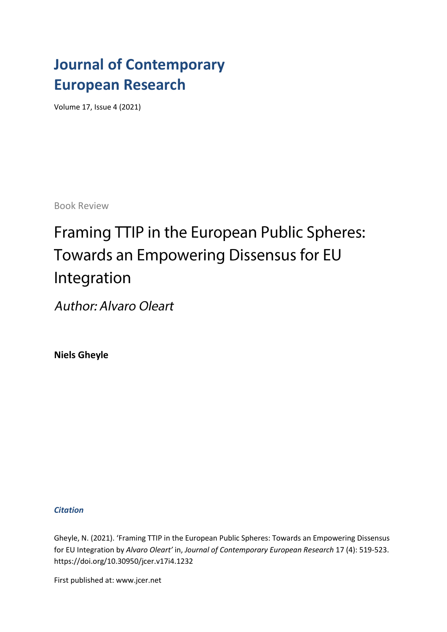### **Journal of Contemporary European Research**

Volume 17, Issue 4 (2021)

Book Review

# Framing TTIP in the European Public Spheres: Towards an Empowering Dissensus for EU Integration

**Author: Alvaro Oleart** 

**Niels Gheyle**

### *Citation*

Gheyle, N. (2021). 'Framing TTIP in the European Public Spheres: Towards an Empowering Dissensus for EU Integration by *Alvaro Oleart'* in, *Journal of Contemporary European Research* 17 (4): 519-523. [https://doi.org/1](https://doi.org/)0.30950/jcer.v17i4.1232

First published at: www.jcer.net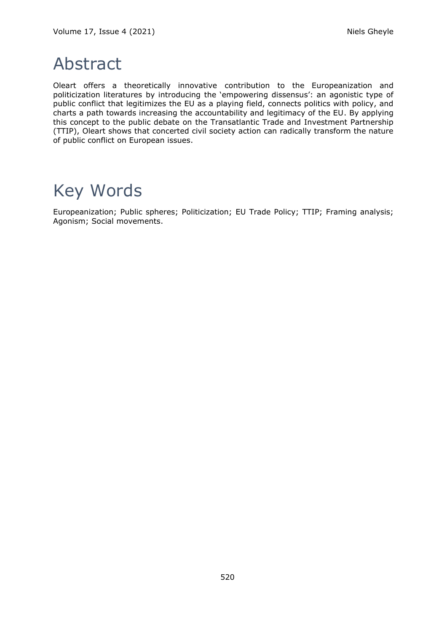## Abstract

Oleart offers a theoretically innovative contribution to the Europeanization and politicization literatures by introducing the 'empowering dissensus': an agonistic type of public conflict that legitimizes the EU as a playing field, connects politics with policy, and charts a path towards increasing the accountability and legitimacy of the EU. By applying this concept to the public debate on the Transatlantic Trade and Investment Partnership (TTIP), Oleart shows that concerted civil society action can radically transform the nature of public conflict on European issues.

## Key Words

Europeanization; Public spheres; Politicization; EU Trade Policy; TTIP; Framing analysis; Agonism; Social movements.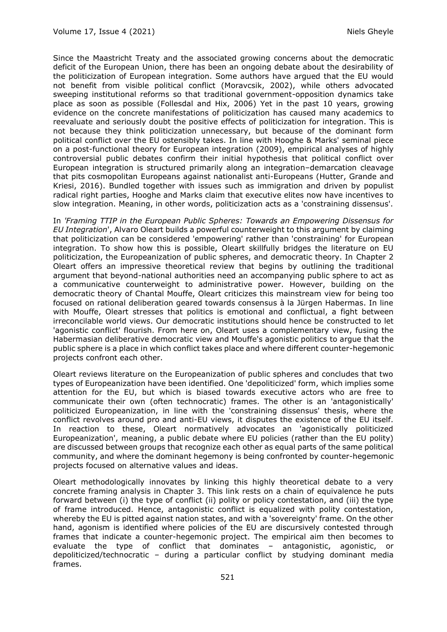Since the Maastricht Treaty and the associated growing concerns about the democratic deficit of the European Union, there has been an ongoing debate about the desirability of the politicization of European integration. Some authors have argued that the EU would not benefit from visible political conflict (Moravcsik, 2002), while others advocated sweeping institutional reforms so that traditional government-opposition dynamics take place as soon as possible (Follesdal and Hix, 2006) Yet in the past 10 years, growing evidence on the concrete manifestations of politicization has caused many academics to reevaluate and seriously doubt the positive effects of politicization for integration. This is not because they think politicization unnecessary, but because of the dominant form political conflict over the EU ostensibly takes. In line with Hooghe & Marks' seminal piece on a post-functional theory for European integration (2009), empirical analyses of highly controversial public debates confirm their initial hypothesis that political conflict over European integration is structured primarily along an integration–demarcation cleavage that pits cosmopolitan Europeans against nationalist anti-Europeans (Hutter, Grande and Kriesi, 2016). Bundled together with issues such as immigration and driven by populist radical right parties, Hooghe and Marks claim that executive elites now have incentives to slow integration. Meaning, in other words, politicization acts as a 'constraining dissensus'.

In *'Framing TTIP in the European Public Spheres: Towards an Empowering Dissensus for EU Integration*', Alvaro Oleart builds a powerful counterweight to this argument by claiming that politicization can be considered 'empowering' rather than 'constraining' for European integration. To show how this is possible, Oleart skillfully bridges the literature on EU politicization, the Europeanization of public spheres, and democratic theory. In Chapter 2 Oleart offers an impressive theoretical review that begins by outlining the traditional argument that beyond-national authorities need an accompanying public sphere to act as a communicative counterweight to administrative power. However, building on the democratic theory of Chantal Mouffe, Oleart criticizes this mainstream view for being too focused on rational deliberation geared towards consensus à la Jürgen Habermas. In line with Mouffe, Oleart stresses that politics is emotional and conflictual, a fight between irreconcilable world views. Our democratic institutions should hence be constructed to let 'agonistic conflict' flourish. From here on, Oleart uses a complementary view, fusing the Habermasian deliberative democratic view and Mouffe's agonistic politics to argue that the public sphere is a place in which conflict takes place and where different counter-hegemonic projects confront each other.

Oleart reviews literature on the Europeanization of public spheres and concludes that two types of Europeanization have been identified. One 'depoliticized' form, which implies some attention for the EU, but which is biased towards executive actors who are free to communicate their own (often technocratic) frames. The other is an 'antagonistically' politicized Europeanization, in line with the 'constraining dissensus' thesis, where the conflict revolves around pro and anti-EU views, it disputes the existence of the EU itself. In reaction to these, Oleart normatively advocates an 'agonistically politicized Europeanization', meaning, a public debate where EU policies (rather than the EU polity) are discussed between groups that recognize each other as equal parts of the same political community, and where the dominant hegemony is being confronted by counter-hegemonic projects focused on alternative values and ideas.

Oleart methodologically innovates by linking this highly theoretical debate to a very concrete framing analysis in Chapter 3. This link rests on a chain of equivalence he puts forward between (i) the type of conflict (ii) polity or policy contestation, and (iii) the type of frame introduced. Hence, antagonistic conflict is equalized with polity contestation, whereby the EU is pitted against nation states, and with a 'sovereignty' frame. On the other hand, agonism is identified where policies of the EU are discursively contested through frames that indicate a counter-hegemonic project. The empirical aim then becomes to evaluate the type of conflict that dominates – antagonistic, agonistic, or depoliticized/technocratic – during a particular conflict by studying dominant media frames.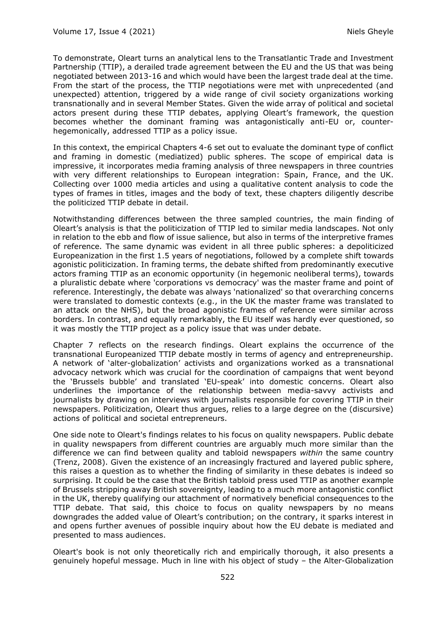To demonstrate, Oleart turns an analytical lens to the Transatlantic Trade and Investment Partnership (TTIP), a derailed trade agreement between the EU and the US that was being negotiated between 2013-16 and which would have been the largest trade deal at the time. From the start of the process, the TTIP negotiations were met with unprecedented (and unexpected) attention, triggered by a wide range of civil society organizations working transnationally and in several Member States. Given the wide array of political and societal actors present during these TTIP debates, applying Oleart's framework, the question becomes whether the dominant framing was antagonistically anti-EU or, counterhegemonically, addressed TTIP as a policy issue.

In this context, the empirical Chapters 4-6 set out to evaluate the dominant type of conflict and framing in domestic (mediatized) public spheres. The scope of empirical data is impressive, it incorporates media framing analysis of three newspapers in three countries with very different relationships to European integration: Spain, France, and the UK. Collecting over 1000 media articles and using a qualitative content analysis to code the types of frames in titles, images and the body of text, these chapters diligently describe the politicized TTIP debate in detail.

Notwithstanding differences between the three sampled countries, the main finding of Oleart's analysis is that the politicization of TTIP led to similar media landscapes. Not only in relation to the ebb and flow of issue salience, but also in terms of the interpretive frames of reference. The same dynamic was evident in all three public spheres: a depoliticized Europeanization in the first 1.5 years of negotiations, followed by a complete shift towards agonistic politicization. In framing terms, the debate shifted from predominantly executive actors framing TTIP as an economic opportunity (in hegemonic neoliberal terms), towards a pluralistic debate where 'corporations vs democracy' was the master frame and point of reference. Interestingly, the debate was always 'nationalized' so that overarching concerns were translated to domestic contexts (e.g., in the UK the master frame was translated to an attack on the NHS), but the broad agonistic frames of reference were similar across borders. In contrast, and equally remarkably, the EU itself was hardly ever questioned, so it was mostly the TTIP project as a policy issue that was under debate.

Chapter 7 reflects on the research findings. Oleart explains the occurrence of the transnational Europeanized TTIP debate mostly in terms of agency and entrepreneurship. A network of 'alter-globalization' activists and organizations worked as a transnational advocacy network which was crucial for the coordination of campaigns that went beyond the 'Brussels bubble' and translated 'EU-speak' into domestic concerns. Oleart also underlines the importance of the relationship between media-savvy activists and journalists by drawing on interviews with journalists responsible for covering TTIP in their newspapers. Politicization, Oleart thus argues, relies to a large degree on the (discursive) actions of political and societal entrepreneurs.

One side note to Oleart's findings relates to his focus on quality newspapers. Public debate in quality newspapers from different countries are arguably much more similar than the difference we can find between quality and tabloid newspapers *within* the same country (Trenz, 2008). Given the existence of an increasingly fractured and layered public sphere, this raises a question as to whether the finding of similarity in these debates is indeed so surprising. It could be the case that the British tabloid press used TTIP as another example of Brussels stripping away British sovereignty, leading to a much more antagonistic conflict in the UK, thereby qualifying our attachment of normatively beneficial consequences to the TTIP debate. That said, this choice to focus on quality newspapers by no means downgrades the added value of Oleart's contribution; on the contrary, it sparks interest in and opens further avenues of possible inquiry about how the EU debate is mediated and presented to mass audiences.

Oleart's book is not only theoretically rich and empirically thorough, it also presents a genuinely hopeful message. Much in line with his object of study – the Alter-Globalization